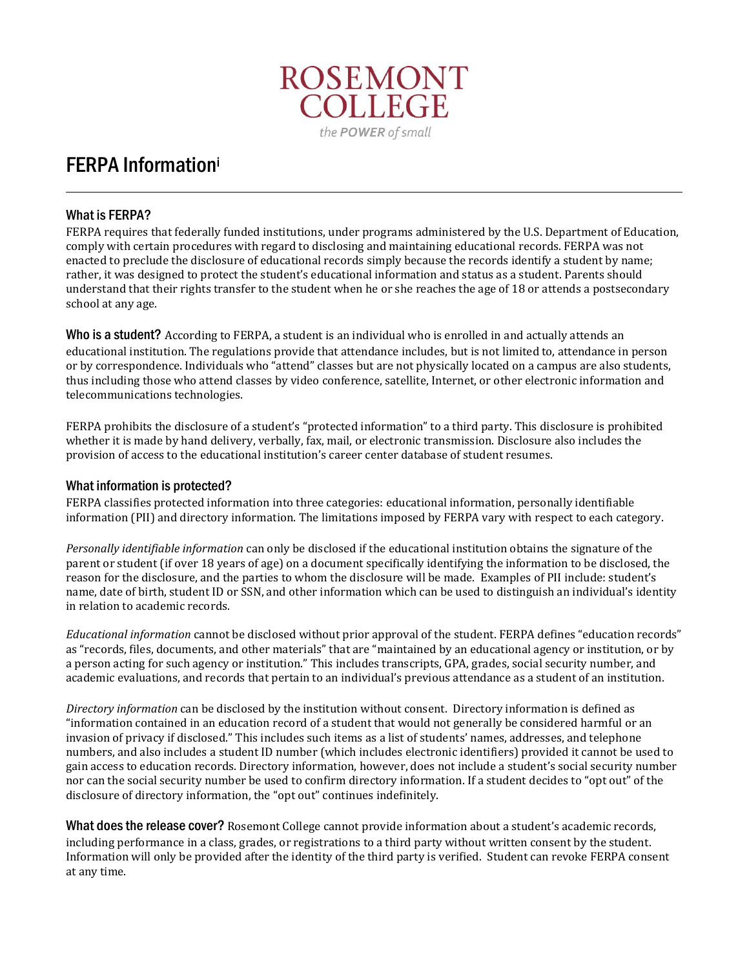

# FERPA Information<sup>i</sup>

### What is FERPA?

FERPA requires that federally funded institutions, under programs administered by the U.S. Department of Education, comply with certain procedures with regard to disclosing and maintaining educational records. FERPA was not enacted to preclude the disclosure of educational records simply because the records identify a student by name; rather, it was designed to protect the student's educational information and status as a student. Parents should understand that their rights transfer to the student when he or she reaches the age of 18 or attends a postsecondary school at any age.

Who is a student? According to FERPA, a student is an individual who is enrolled in and actually attends an educational institution. The regulations provide that attendance includes, but is not limited to, attendance in person or by correspondence. Individuals who "attend" classes but are not physically located on a campus are also students, thus including those who attend classes by video conference, satellite, Internet, or other electronic information and telecommunications technologies.

FERPA prohibits the disclosure of a student's "protected information" to a third party. This disclosure is prohibited whether it is made by hand delivery, verbally, fax, mail, or electronic transmission. Disclosure also includes the provision of access to the educational institution's career center database of student resumes.

### What information is protected?

FERPA classifies protected information into three categories: educational information, personally identifiable information (PII) and directory information. The limitations imposed by FERPA vary with respect to each category.

*Personally identifiable information* can only be disclosed if the educational institution obtains the signature of the parent or student (if over 18 years of age) on a document specifically identifying the information to be disclosed, the reason for the disclosure, and the parties to whom the disclosure will be made. Examples of PII include: student's name, date of birth, student ID or SSN, and other information which can be used to distinguish an individual's identity in relation to academic records.

*Educational information* cannot be disclosed without prior approval of the student. FERPA defines "education records" as "records, files, documents, and other materials" that are "maintained by an educational agency or institution, or by a person acting for such agency or institution." This includes transcripts, GPA, grades, social security number, and academic evaluations, and records that pertain to an individual's previous attendance as a student of an institution.

*Directory information* can be disclosed by the institution without consent. Directory information is defined as "information contained in an education record of a student that would not generally be considered harmful or an invasion of privacy if disclosed." This includes such items as a list of students' names, addresses, and telephone numbers, and also includes a student ID number (which includes electronic identifiers) provided it cannot be used to gain access to education records. Directory information, however, does not include a student's social security number nor can the social security number be used to confirm directory information. If a student decides to "opt out" of the disclosure of directory information, the "opt out" continues indefinitely.

What does the release cover? Rosemont College cannot provide information about a student's academic records, including performance in a class, grades, or registrations to a third party without written consent by the student. Information will only be provided after the identity of the third party is verified. Student can revoke FERPA consent at any time.